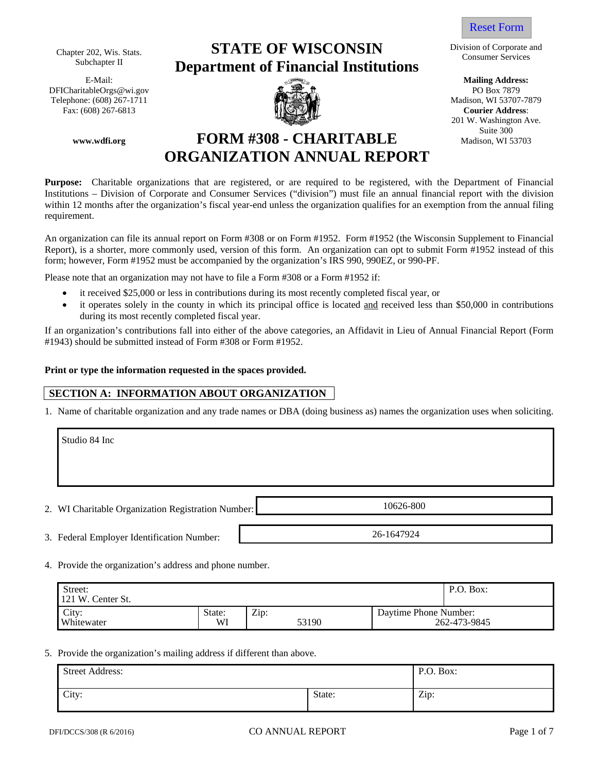Chapter 202, Wis. Stats. Subchapter II

E-Mail: DFICharitableOrgs@wi.gov Telephone: (608) 267-1711  $\blacksquare$  Madison, WI 53707-7879 Fax: (608) 267-6813 **Courier Address**:

**www.wdfi.org** 

# **STATE OF WISCONSIN Department of Financial Institutions**



# Reset Form

Division of Corporate and Consumer Services

**Mailing Address:**  PO Box 7879 201 W. Washington Ave. Suite 300 Madison, WI 53703

# **FORM #308 - CHARITABLE ORGANIZATION ANNUAL REPORT**

**Purpose:** Charitable organizations that are registered, or are required to be registered, with the Department of Financial Institutions – Division of Corporate and Consumer Services ("division") must file an annual financial report with the division within 12 months after the organization's fiscal year-end unless the organization qualifies for an exemption from the annual filing requirement.

An organization can file its annual report on Form #308 or on Form #1952. Form #1952 (the Wisconsin Supplement to Financial Report), is a shorter, more commonly used, version of this form. An organization can opt to submit Form #1952 instead of this form; however, Form #1952 must be accompanied by the organization's IRS 990, 990EZ, or 990-PF.

Please note that an organization may not have to file a Form #308 or a Form #1952 if:

- it received \$25,000 or less in contributions during its most recently completed fiscal year, or
- it operates solely in the county in which its principal office is located and received less than \$50,000 in contributions during its most recently completed fiscal year.

If an organization's contributions fall into either of the above categories, an Affidavit in Lieu of Annual Financial Report (Form #1943) should be submitted instead of Form #308 or Form #1952.

### **Print or type the information requested in the spaces provided.**

## **SECTION A: INFORMATION ABOUT ORGANIZATION**

1. Name of charitable organization and any trade names or DBA (doing business as) names the organization uses when soliciting.

| Studio 84 Inc                                      |            |
|----------------------------------------------------|------------|
|                                                    |            |
| 2. WI Charitable Organization Registration Number: | 10626-800  |
| 3. Federal Employer Identification Number:         | 26-1647924 |

4. Provide the organization's address and phone number.

| Street:<br>121 W. Center St. | P.O. Box:    |               |                       |              |
|------------------------------|--------------|---------------|-----------------------|--------------|
| City:<br>Whitewater          | State:<br>WI | Zip:<br>53190 | Daytime Phone Number: | 262-473-9845 |

#### 5. Provide the organization's mailing address if different than above.

| <b>Street Address:</b> |        | P.O. Box:  |
|------------------------|--------|------------|
| City:                  | State: | Zip:<br>л. |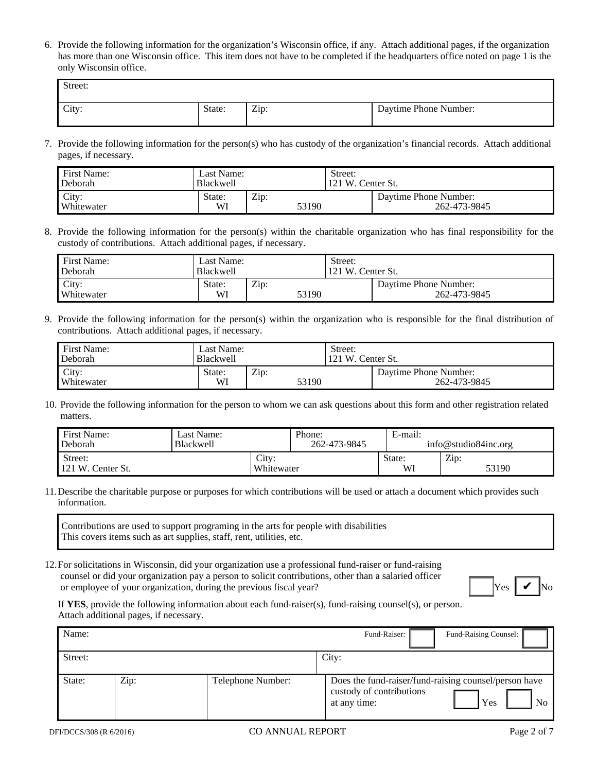6. Provide the following information for the organization's Wisconsin office, if any. Attach additional pages, if the organization has more than one Wisconsin office. This item does not have to be completed if the headquarters office noted on page 1 is the only Wisconsin office.

| Street: |        |      |                       |
|---------|--------|------|-----------------------|
| City:   | State: | Zip: | Daytime Phone Number: |

7. Provide the following information for the person(s) who has custody of the organization's financial records. Attach additional pages, if necessary.

| First Name:         | Last Name:       |      |       | Street:           |                                       |  |  |
|---------------------|------------------|------|-------|-------------------|---------------------------------------|--|--|
| Deborah             | <b>Blackwell</b> |      |       | 121 W. Center St. |                                       |  |  |
| City:<br>Whitewater | State:<br>WI     | Zip: | 53190 |                   | Davtime Phone Number:<br>262-473-9845 |  |  |

8. Provide the following information for the person(s) within the charitable organization who has final responsibility for the custody of contributions. Attach additional pages, if necessary.

| <b>First Name:</b>  | Last Name:   |      |       | Street:           |                                       |  |  |
|---------------------|--------------|------|-------|-------------------|---------------------------------------|--|--|
| Deborah             | Blackwell    |      |       | 121 W. Center St. |                                       |  |  |
| City:<br>Whitewater | State:<br>Wl | Zip: | 53190 |                   | Davtime Phone Number:<br>262-473-9845 |  |  |

9. Provide the following information for the person(s) within the organization who is responsible for the final distribution of contributions. Attach additional pages, if necessary.

| First Name:<br>Deborah | Last Name:<br><b>Blackwell</b> |      |       | Street:<br>121 W. Center St. |                                       |  |
|------------------------|--------------------------------|------|-------|------------------------------|---------------------------------------|--|
| City:<br>Whitewater    | State:<br>WI                   | Zip: | 53190 |                              | Daytime Phone Number:<br>262-473-9845 |  |
|                        |                                |      |       |                              |                                       |  |

10. Provide the following information for the person to whom we can ask questions about this form and other registration related matters.

| First Name:<br>Deborah       | Last Name:<br><b>Blackwell</b> |                     | Phone:<br>262-473-9845 | E-mail:      | info@studio84inc.org |
|------------------------------|--------------------------------|---------------------|------------------------|--------------|----------------------|
| Street:<br>121 W. Center St. |                                | City:<br>Whitewater |                        | State:<br>WI | Zip:<br>53190        |

11.Describe the charitable purpose or purposes for which contributions will be used or attach a document which provides such information.

Contributions are used to support programing in the arts for people with disabilities This covers items such as art supplies, staff, rent, utilities, etc.

12.For solicitations in Wisconsin, did your organization use a professional fund-raiser or fund-raising counsel or did your organization pay a person to solicit contributions, other than a salaried officer or employee of your organization, during the previous fiscal year? Yes November 1988.



If **YES**, provide the following information about each fund-raiser(s), fund-raising counsel(s), or person. Attach additional pages, if necessary.

| Name:   |      |                   | Fund-Raising Counsel:<br>Fund-Raiser:                                                                          |
|---------|------|-------------------|----------------------------------------------------------------------------------------------------------------|
| Street: |      |                   | City:                                                                                                          |
| State:  | Zip: | Telephone Number: | Does the fund-raiser/fund-raising counsel/person have<br>custody of contributions<br>Yes<br>No<br>at any time: |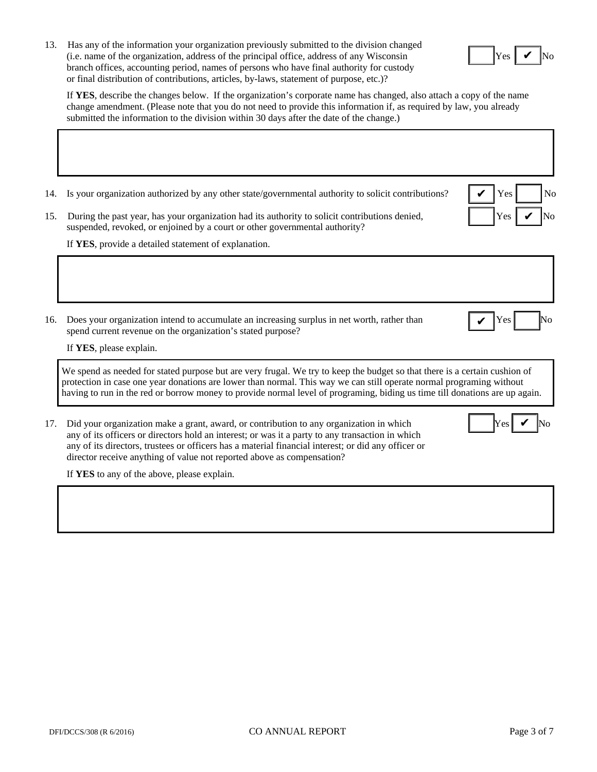13. Has any of the information your organization previously submitted to the division changed  $(i.e., name of the organization, address of the principal office, address of any Wisconsin)$ branch offices, accounting period, names of persons who have final authority for custody or final distribution of contributions, articles, by-laws, statement of purpose, etc.)?



✔

If **YES**, describe the changes below. If the organization's corporate name has changed, also attach a copy of the name change amendment. (Please note that you do not need to provide this information if, as required by law, you already submitted the information to the division within 30 days after the date of the change.)

- 14. Is your organization authorized by any other state/governmental authority to solicit contributions?  $\mathbf{V}$  Yes No
- 15. During the past year, has your organization had its authority to solicit contributions denied, suspended, revoked, or enjoined by a court or other governmental authority?

If **YES**, provide a detailed statement of explanation.

16. Does your organization intend to accumulate an increasing surplus in net worth, rather than  $\big| \bigvee \text{Yes} \big|$  No spend current revenue on the organization's stated purpose?

✔

✔

✔

If **YES**, please explain.

We spend as needed for stated purpose but are very frugal. We try to keep the budget so that there is a certain cushion of protection in case one year donations are lower than normal. This way we can still operate normal programing without having to run in the red or borrow money to provide normal level of programing, biding us time till donations are up again.

17. Did your organization make a grant, award, or contribution to any organization in which any of its officers or directors hold an interest; or was it a party to any transaction in which any of its directors, trustees or officers has a material financial interest; or did any officer or director receive anything of value not reported above as compensation?

If **YES** to any of the above, please explain.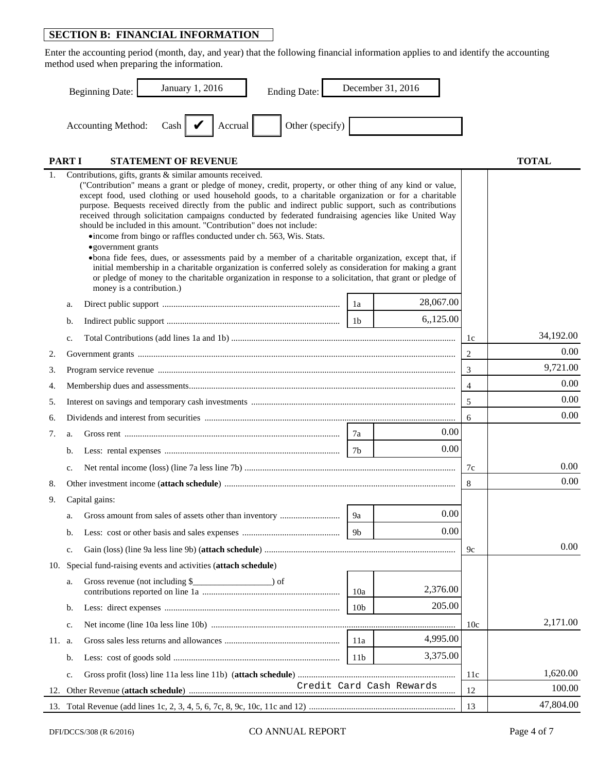# **SECTION B: FINANCIAL INFORMATION**

Enter the accounting period (month, day, and year) that the following financial information applies to and identify the accounting method used when preparing the information.

|        |              | January 1, 2016<br><b>Ending Date:</b><br><b>Beginning Date:</b>                                                                                                                                                                                                                                                                                                                                                                                                                                                                                                                                                                                                                                                                                                                                                                                                                                                                                                                                                              |                 | December 31, 2016 |     |              |
|--------|--------------|-------------------------------------------------------------------------------------------------------------------------------------------------------------------------------------------------------------------------------------------------------------------------------------------------------------------------------------------------------------------------------------------------------------------------------------------------------------------------------------------------------------------------------------------------------------------------------------------------------------------------------------------------------------------------------------------------------------------------------------------------------------------------------------------------------------------------------------------------------------------------------------------------------------------------------------------------------------------------------------------------------------------------------|-----------------|-------------------|-----|--------------|
|        |              | Other (specify)<br>Cash $\bigcup$<br>Accounting Method:<br>Accrual                                                                                                                                                                                                                                                                                                                                                                                                                                                                                                                                                                                                                                                                                                                                                                                                                                                                                                                                                            |                 |                   |     |              |
|        | <b>PARTI</b> | <b>STATEMENT OF REVENUE</b>                                                                                                                                                                                                                                                                                                                                                                                                                                                                                                                                                                                                                                                                                                                                                                                                                                                                                                                                                                                                   |                 |                   |     | <b>TOTAL</b> |
|        |              | Contributions, gifts, grants & similar amounts received.<br>("Contribution" means a grant or pledge of money, credit, property, or other thing of any kind or value,<br>except food, used clothing or used household goods, to a charitable organization or for a charitable<br>purpose. Bequests received directly from the public and indirect public support, such as contributions<br>received through solicitation campaigns conducted by federated fundraising agencies like United Way<br>should be included in this amount. "Contribution" does not include:<br>•income from bingo or raffles conducted under ch. 563, Wis. Stats.<br>•government grants<br>• bona fide fees, dues, or assessments paid by a member of a charitable organization, except that, if<br>initial membership in a charitable organization is conferred solely as consideration for making a grant<br>or pledge of money to the charitable organization in response to a solicitation, that grant or pledge of<br>money is a contribution.) |                 |                   |     |              |
|        | a.           |                                                                                                                                                                                                                                                                                                                                                                                                                                                                                                                                                                                                                                                                                                                                                                                                                                                                                                                                                                                                                               | 1a              | 28,067.00         |     |              |
|        | b.           |                                                                                                                                                                                                                                                                                                                                                                                                                                                                                                                                                                                                                                                                                                                                                                                                                                                                                                                                                                                                                               | 1 <sub>b</sub>  | 6,125.00          |     |              |
|        | c.           |                                                                                                                                                                                                                                                                                                                                                                                                                                                                                                                                                                                                                                                                                                                                                                                                                                                                                                                                                                                                                               |                 |                   | 1c  | 34,192.00    |
| 2.     |              |                                                                                                                                                                                                                                                                                                                                                                                                                                                                                                                                                                                                                                                                                                                                                                                                                                                                                                                                                                                                                               |                 |                   | 2   | 0.00         |
| 3.     |              |                                                                                                                                                                                                                                                                                                                                                                                                                                                                                                                                                                                                                                                                                                                                                                                                                                                                                                                                                                                                                               |                 |                   | 3   | 9,721.00     |
| 4.     |              |                                                                                                                                                                                                                                                                                                                                                                                                                                                                                                                                                                                                                                                                                                                                                                                                                                                                                                                                                                                                                               |                 |                   | 4   | 0.00         |
| 5.     |              |                                                                                                                                                                                                                                                                                                                                                                                                                                                                                                                                                                                                                                                                                                                                                                                                                                                                                                                                                                                                                               |                 |                   | 5   | 0.00         |
| 6.     |              |                                                                                                                                                                                                                                                                                                                                                                                                                                                                                                                                                                                                                                                                                                                                                                                                                                                                                                                                                                                                                               |                 |                   | 6   | 0.00         |
| 7.     | a.           |                                                                                                                                                                                                                                                                                                                                                                                                                                                                                                                                                                                                                                                                                                                                                                                                                                                                                                                                                                                                                               | 7a              | 0.00              |     |              |
|        | b.           |                                                                                                                                                                                                                                                                                                                                                                                                                                                                                                                                                                                                                                                                                                                                                                                                                                                                                                                                                                                                                               | 7b              | 0.00              |     |              |
|        | c.           |                                                                                                                                                                                                                                                                                                                                                                                                                                                                                                                                                                                                                                                                                                                                                                                                                                                                                                                                                                                                                               |                 |                   | 7c  | 0.00         |
| 8.     |              |                                                                                                                                                                                                                                                                                                                                                                                                                                                                                                                                                                                                                                                                                                                                                                                                                                                                                                                                                                                                                               |                 |                   | 8   | 0.00         |
| 9.     |              | Capital gains:                                                                                                                                                                                                                                                                                                                                                                                                                                                                                                                                                                                                                                                                                                                                                                                                                                                                                                                                                                                                                |                 |                   |     |              |
|        | a.           |                                                                                                                                                                                                                                                                                                                                                                                                                                                                                                                                                                                                                                                                                                                                                                                                                                                                                                                                                                                                                               | 9a              | 0.00              |     |              |
|        | b.           |                                                                                                                                                                                                                                                                                                                                                                                                                                                                                                                                                                                                                                                                                                                                                                                                                                                                                                                                                                                                                               | 9b              | 0.00              |     |              |
|        | c.           |                                                                                                                                                                                                                                                                                                                                                                                                                                                                                                                                                                                                                                                                                                                                                                                                                                                                                                                                                                                                                               |                 |                   | 9c  | 0.00         |
|        |              | 10. Special fund-raising events and activities (attach schedule)                                                                                                                                                                                                                                                                                                                                                                                                                                                                                                                                                                                                                                                                                                                                                                                                                                                                                                                                                              |                 |                   |     |              |
|        | a.           | Gross revenue (not including \$<br>$\rule{1em}{0.15mm}$ of                                                                                                                                                                                                                                                                                                                                                                                                                                                                                                                                                                                                                                                                                                                                                                                                                                                                                                                                                                    | 10a             | 2,376.00          |     |              |
|        | b.           |                                                                                                                                                                                                                                                                                                                                                                                                                                                                                                                                                                                                                                                                                                                                                                                                                                                                                                                                                                                                                               | 10 <sub>b</sub> | 205.00            |     |              |
|        | c.           |                                                                                                                                                                                                                                                                                                                                                                                                                                                                                                                                                                                                                                                                                                                                                                                                                                                                                                                                                                                                                               |                 |                   | 10c | 2,171.00     |
| 11. a. |              |                                                                                                                                                                                                                                                                                                                                                                                                                                                                                                                                                                                                                                                                                                                                                                                                                                                                                                                                                                                                                               | 11a             | 4,995.00          |     |              |
|        | b.           |                                                                                                                                                                                                                                                                                                                                                                                                                                                                                                                                                                                                                                                                                                                                                                                                                                                                                                                                                                                                                               | 11 <sub>b</sub> | 3,375.00          |     |              |
|        | c.           |                                                                                                                                                                                                                                                                                                                                                                                                                                                                                                                                                                                                                                                                                                                                                                                                                                                                                                                                                                                                                               |                 |                   | 11c | 1,620.00     |
| 12.    |              |                                                                                                                                                                                                                                                                                                                                                                                                                                                                                                                                                                                                                                                                                                                                                                                                                                                                                                                                                                                                                               |                 |                   | 12  | 100.00       |
|        |              |                                                                                                                                                                                                                                                                                                                                                                                                                                                                                                                                                                                                                                                                                                                                                                                                                                                                                                                                                                                                                               |                 |                   | 13  | 47,804.00    |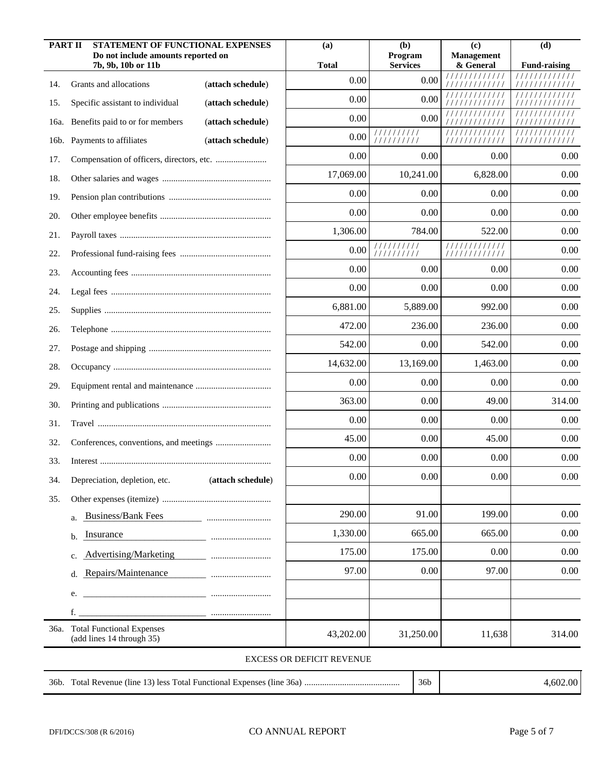| <b>PART II</b> | STATEMENT OF FUNCTIONAL EXPENSES<br>Do not include amounts reported on |                   | (a)                              | (b)<br>Program            | (c)<br><b>Management</b>       | (d)                 |
|----------------|------------------------------------------------------------------------|-------------------|----------------------------------|---------------------------|--------------------------------|---------------------|
|                | 7b, 9b, 10b or 11b                                                     |                   | <b>Total</b>                     | <b>Services</b>           | & General                      | <b>Fund-raising</b> |
| 14.            | Grants and allocations                                                 | (attach schedule) | 0.00                             | 0.00                      | 1111<br>/////////              |                     |
| 15.            | Specific assistant to individual                                       | (attach schedule) | 0.00                             | 0.00                      |                                |                     |
| 16a.           | Benefits paid to or for members                                        | (attach schedule) | 0.00                             | 0.00                      | 11 <sub>1</sub>                |                     |
|                | 16b. Payments to affiliates                                            | (attach schedule) | 0.00                             | //////////<br>1111111111  | /////////////                  | /////////////       |
| 17.            |                                                                        |                   | 0.00                             | 0.00                      | 0.00                           | 0.00                |
| 18.            |                                                                        |                   | 17,069.00                        | 10,241.00                 | 6,828.00                       | 0.00                |
| 19.            |                                                                        |                   | 0.00                             | 0.00                      | 0.00                           | 0.00                |
| 20.            |                                                                        |                   | 0.00                             | 0.00                      | 0.00                           | 0.00                |
| 21.            |                                                                        |                   | 1,306.00                         | 784.00                    | 522.00                         | 0.00                |
| 22.            |                                                                        |                   | 0.00                             | 11111111111<br>1111111111 | 1111111111111<br>///////////// | 0.00                |
| 23.            |                                                                        |                   | 0.00                             | 0.00                      | 0.00                           | 0.00                |
| 24.            |                                                                        |                   | 0.00                             | 0.00                      | 0.00                           | 0.00                |
| 25.            |                                                                        |                   | 6,881.00                         | 5,889.00                  | 992.00                         | 0.00                |
| 26.            |                                                                        |                   | 472.00                           | 236.00                    | 236.00                         | 0.00                |
| 27.            |                                                                        |                   | 542.00                           | 0.00                      | 542.00                         | 0.00                |
| 28.            |                                                                        |                   | 14,632.00                        | 13,169.00                 | 1,463.00                       | 0.00                |
| 29.            |                                                                        |                   | 0.00                             | 0.00                      | 0.00                           | 0.00                |
| 30.            |                                                                        |                   | 363.00                           | 0.00                      | 49.00                          | 314.00              |
| 31.            |                                                                        |                   | 0.00                             | 0.00                      | 0.00                           | 0.00                |
| 32.            |                                                                        |                   | 45.00                            | 0.00                      | 45.00                          | 0.00                |
| 33.            |                                                                        |                   | 0.00                             | 0.00                      | 0.00                           | 0.00                |
| 34.            | Depreciation, depletion, etc.                                          | (attach schedule) | 0.00                             | 0.00                      | $0.00\,$                       | $0.00\,$            |
| 35.            |                                                                        |                   |                                  |                           |                                |                     |
|                | <b>Business/Bank Fees</b><br>a.                                        |                   | 290.00                           | 91.00                     | 199.00                         | 0.00                |
|                | Insurance<br>b.                                                        |                   | 1,330.00                         | 665.00                    | 665.00                         | 0.00                |
|                | Advertising/Marketing<br>c.                                            |                   | 175.00                           | 175.00                    | 0.00                           | 0.00                |
|                | Repairs/Maintenance<br>d.                                              |                   | 97.00                            | 0.00                      | 97.00                          | 0.00                |
|                | <u> 1989 - Johann Barn, mars ann an t-Amhain an t-A</u><br>e.          |                   |                                  |                           |                                |                     |
|                | f.                                                                     |                   |                                  |                           |                                |                     |
|                | 36a. Total Functional Expenses<br>(add lines 14 through 35)            |                   | 43,202.00                        | 31,250.00                 | 11,638                         | 314.00              |
|                |                                                                        |                   | <b>EXCESS OR DEFICIT REVENUE</b> |                           |                                |                     |
|                |                                                                        |                   |                                  | 36 <sub>b</sub>           |                                | 4,602.00            |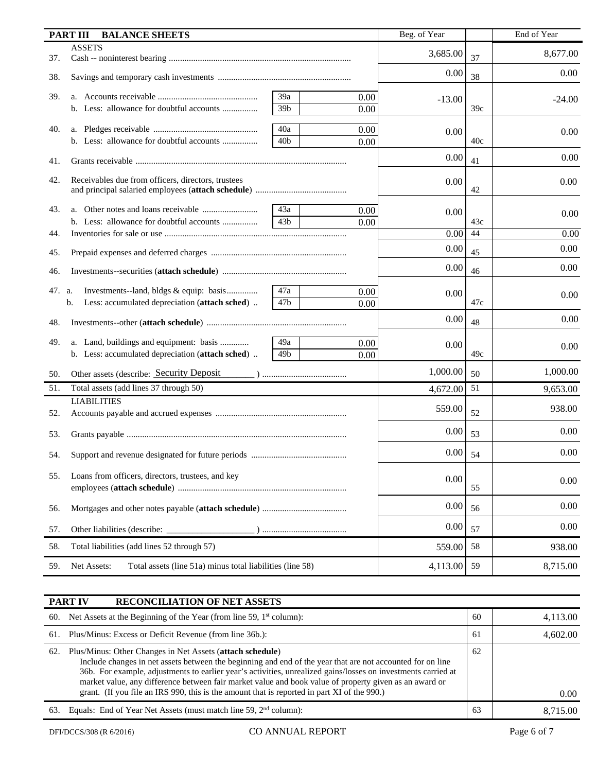|     | <b>BALANCE SHEETS</b><br><b>PART III</b>                                 |                 |      | Beg. of Year |     | End of Year |
|-----|--------------------------------------------------------------------------|-----------------|------|--------------|-----|-------------|
| 37. | <b>ASSETS</b>                                                            |                 |      | 3,685.00     | 37  | 8,677.00    |
| 38. |                                                                          |                 |      | 0.00         | 38  | 0.00        |
| 39. |                                                                          | 39a             | 0.00 | $-13.00$     |     | $-24.00$    |
|     |                                                                          | 39b             | 0.00 |              | 39c |             |
| 40. |                                                                          | 40a             | 0.00 | 0.00         |     | 0.00        |
|     | b. Less: allowance for doubtful accounts                                 | 40 <sub>b</sub> | 0.00 |              | 40c |             |
| 41. |                                                                          |                 |      | 0.00         | 41  | 0.00        |
| 42. | Receivables due from officers, directors, trustees                       |                 |      | 0.00         | 42  | 0.00        |
| 43. |                                                                          | 43a             | 0.00 | 0.00         |     |             |
|     |                                                                          | 43 <sub>b</sub> | 0.00 |              | 43c | 0.00        |
| 44. |                                                                          |                 |      | 0.00         | 44  | 0.00        |
| 45. |                                                                          |                 |      | 0.00         | 45  | 0.00        |
| 46. |                                                                          |                 |      | 0.00         | 46  | 0.00        |
| 47. | Investments--land, bldgs & equip: basis<br>a.                            | 47a             | 0.00 | 0.00         |     |             |
|     | Less: accumulated depreciation (attach sched)<br>b.                      | 47b             | 0.00 |              | 47c | 0.00        |
| 48. |                                                                          |                 |      | 0.00         | 48  | 0.00        |
| 49. | a. Land, buildings and equipment: basis                                  | 49a             | 0.00 |              |     |             |
|     | b. Less: accumulated depreciation (attach sched)                         | 49b             | 0.00 | 0.00         | 49c | 0.00        |
| 50. | Other assets (describe: Security Deposit                                 |                 |      | 1,000.00     | 50  | 1,000.00    |
| 51. | Total assets (add lines 37 through 50)                                   |                 |      | 4,672.00     | 51  | 9,653.00    |
|     | <b>LIABILITIES</b>                                                       |                 |      |              |     | 938.00      |
| 52. |                                                                          |                 |      | 559.00       | 52  |             |
| 53. |                                                                          |                 |      | 0.00         | 53  | 0.00        |
| 54. |                                                                          |                 |      | 0.00         | 54  | 0.00        |
| 55. | Loans from officers, directors, trustees, and key                        |                 |      |              |     |             |
|     |                                                                          |                 |      | 0.00         | 55  | 0.00        |
| 56. |                                                                          | 0.00            | 56   | 0.00         |     |             |
| 57. |                                                                          | 0.00            | 57   | 0.00         |     |             |
| 58. | Total liabilities (add lines 52 through 57)                              |                 |      | 559.00       | 58  | 938.00      |
| 59. | Net Assets:<br>Total assets (line 51a) minus total liabilities (line 58) |                 |      | 4,113.00     | 59  | 8,715.00    |

| <b>RECONCILIATION OF NET ASSETS</b><br><b>PART IV</b>                                                                                                                                                                                                                                                                                                                                                                                                                                                    |    |          |
|----------------------------------------------------------------------------------------------------------------------------------------------------------------------------------------------------------------------------------------------------------------------------------------------------------------------------------------------------------------------------------------------------------------------------------------------------------------------------------------------------------|----|----------|
| Net Assets at the Beginning of the Year (from line 59, 1 <sup>st</sup> column):<br>60.                                                                                                                                                                                                                                                                                                                                                                                                                   | 60 | 4,113.00 |
| Plus/Minus: Excess or Deficit Revenue (from line 36b.):<br>61.                                                                                                                                                                                                                                                                                                                                                                                                                                           | 61 | 4,602.00 |
| Plus/Minus: Other Changes in Net Assets (attach schedule)<br>62.<br>Include changes in net assets between the beginning and end of the year that are not accounted for on line<br>36b. For example, adjustments to earlier year's activities, unrealized gains/losses on investments carried at<br>market value, any difference between fair market value and book value of property given as an award or<br>grant. (If you file an IRS 990, this is the amount that is reported in part XI of the 990.) | 62 | 0.00     |
| Equals: End of Year Net Assets (must match line 59, 2 <sup>nd</sup> column):<br>63.                                                                                                                                                                                                                                                                                                                                                                                                                      | 63 | 8.715.00 |